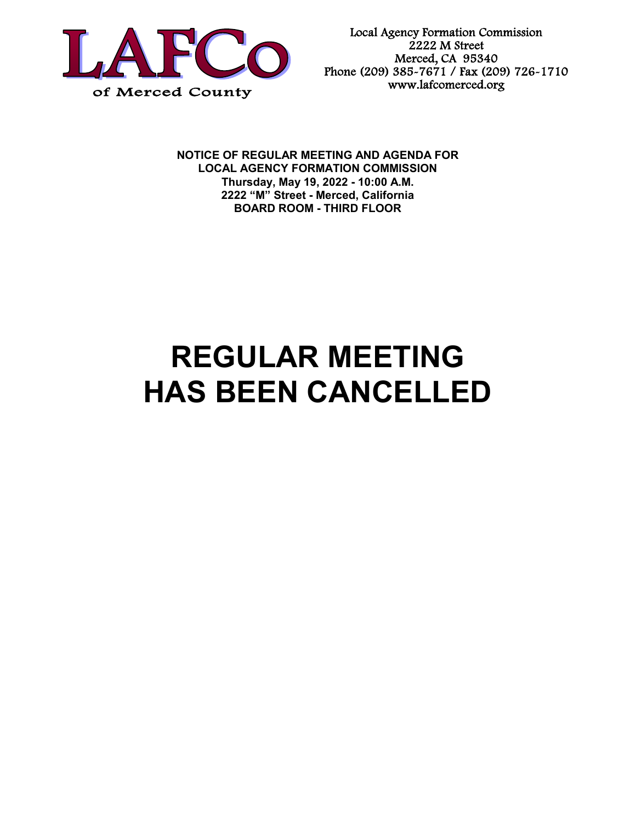

Local Agency Formation Commission 2222 M Street Merced, CA 95340 Phone (209) 385-7671 / Fax (209) 726-1710 www.lafcomerced.org

**NOTICE OF REGULAR MEETING AND AGENDA FOR LOCAL AGENCY FORMATION COMMISSION Thursday, May 19, 2022 - 10:00 A.M. 2222 "M" Street - Merced, California BOARD ROOM - THIRD FLOOR**

## **REGULAR MEETING HAS BEEN CANCELLED**